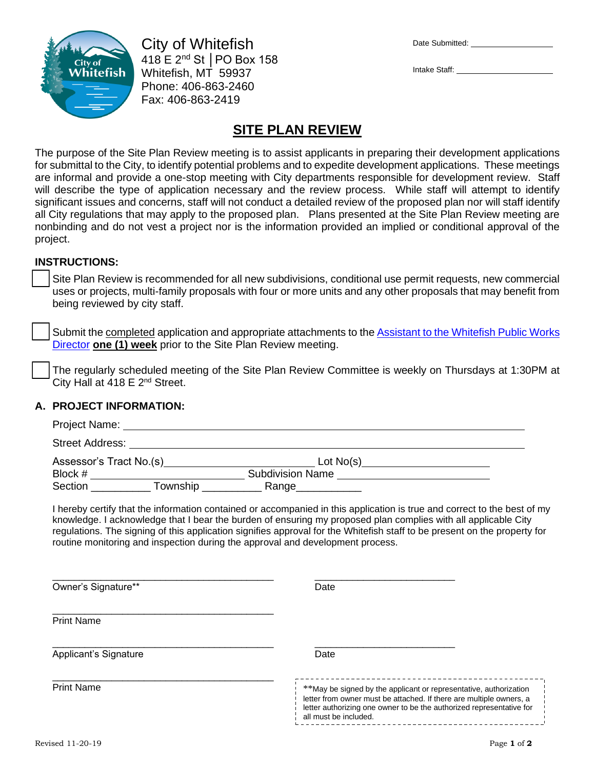

City of Whitefish 418 E 2nd St │PO Box 158 Whitefish, MT 59937 Phone: 406-863-2460 Fax: 406-863-2419

| Date Submitted: |  |
|-----------------|--|
|                 |  |

Intake Staff:

# **SITE PLAN REVIEW**

The purpose of the Site Plan Review meeting is to assist applicants in preparing their development applications for submittal to the City, to identify potential problems and to expedite development applications. These meetings are informal and provide a one-stop meeting with City departments responsible for development review. Staff will describe the type of application necessary and the review process. While staff will attempt to identify significant issues and concerns, staff will not conduct a detailed review of the proposed plan nor will staff identify all City regulations that may apply to the proposed plan. Plans presented at the Site Plan Review meeting are nonbinding and do not vest a project nor is the information provided an implied or conditional approval of the project.

## **INSTRUCTIONS:**

Site Plan Review is recommended for all new subdivisions, conditional use permit requests, new commercial uses or projects, multi-family proposals with four or more units and any other proposals that may benefit from being reviewed by city staff.

Submit the completed application and appropriate attachments to the Assistant to the Whitefish Public Works [Director](mailto:publicworks@cityofwhitefish.org) **one (1) week** prior to the Site Plan Review meeting.

❑ The regularly scheduled meeting of the Site Plan Review Committee is weekly on Thursdays at 1:30PM at City Hall at  $418 \, \text{E}$  2<sup>nd</sup> Street.

## **A. PROJECT INFORMATION:**

| <b>Street Address:</b> |                         |                         |  |
|------------------------|-------------------------|-------------------------|--|
|                        | Assessor's Tract No.(s) | Lot $No(s)$             |  |
| Block #                |                         | <b>Subdivision Name</b> |  |
| Section                | Township                | Range                   |  |

I hereby certify that the information contained or accompanied in this application is true and correct to the best of my knowledge. I acknowledge that I bear the burden of ensuring my proposed plan complies with all applicable City regulations. The signing of this application signifies approval for the Whitefish staff to be present on the property for routine monitoring and inspection during the approval and development process.

| Owner's Signature**   | Date                                                                                                                                                                                                                                      |  |
|-----------------------|-------------------------------------------------------------------------------------------------------------------------------------------------------------------------------------------------------------------------------------------|--|
| <b>Print Name</b>     |                                                                                                                                                                                                                                           |  |
| Applicant's Signature | Date                                                                                                                                                                                                                                      |  |
| <b>Print Name</b>     | **May be signed by the applicant or representative, authorization<br>letter from owner must be attached. If there are multiple owners, a<br>letter authorizing one owner to be the authorized representative for<br>all must be included. |  |